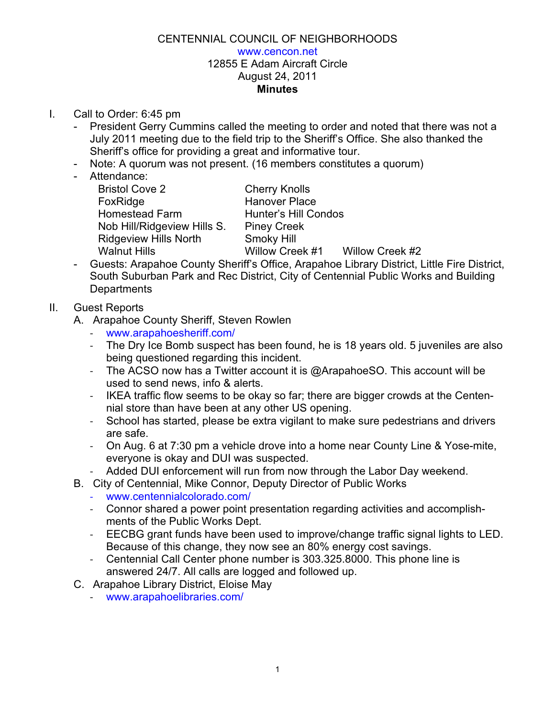## CENTENNIAL COUNCIL OF NEIGHBORHOODS www.cencon.net 12855 E Adam Aircraft Circle August 24, 2011 **Minutes**

- I. Call to Order: 6:45 pm
	- President Gerry Cummins called the meeting to order and noted that there was not a July 2011 meeting due to the field trip to the Sheriff's Office. She also thanked the Sheriff's office for providing a great and informative tour.
	- Note: A quorum was not present. (16 members constitutes a quorum)
	- Attendance:
		- Bristol Cove 2 Cherry Knolls FoxRidge Hanover Place Homestead Farm Hunter's Hill Condos Nob Hill/Ridgeview Hills S. Piney Creek Ridgeview Hills North Smoky Hill Walnut Hills **Willow Creek #1** Willow Creek #2

- Guests: Arapahoe County Sheriff's Office, Arapahoe Library District, Little Fire District, South Suburban Park and Rec District, City of Centennial Public Works and Building **Departments** 

## II. Guest Reports

- A. Arapahoe County Sheriff, Steven Rowlen
	- ! www.arapahoesheriff.com/
	- The Dry Ice Bomb suspect has been found, he is 18 years old. 5 juveniles are also being questioned regarding this incident.
	- The ACSO now has a Twitter account it is @ArapahoeSO. This account will be used to send news, info & alerts.
	- ! IKEA traffic flow seems to be okay so far; there are bigger crowds at the Centennial store than have been at any other US opening.
	- ! School has started, please be extra vigilant to make sure pedestrians and drivers are safe.
	- ! On Aug. 6 at 7:30 pm a vehicle drove into a home near County Line & Yose-mite, everyone is okay and DUI was suspected.
	- Added DUI enforcement will run from now through the Labor Day weekend.
- B. City of Centennial, Mike Connor, Deputy Director of Public Works
	- ! www.centennialcolorado.com/
	- ! Connor shared a power point presentation regarding activities and accomplishments of the Public Works Dept.
	- ! EECBG grant funds have been used to improve/change traffic signal lights to LED. Because of this change, they now see an 80% energy cost savings.
	- ! Centennial Call Center phone number is 303.325.8000. This phone line is answered 24/7. All calls are logged and followed up.
- C. Arapahoe Library District, Eloise May
	- ! www.arapahoelibraries.com/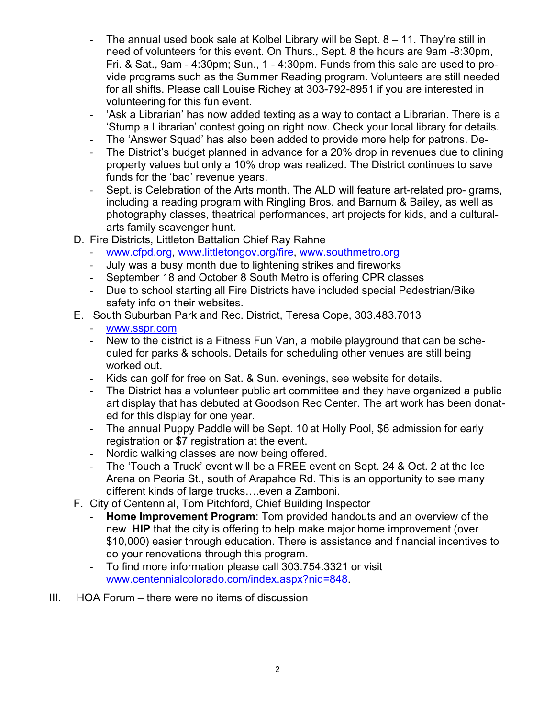- The annual used book sale at Kolbel Library will be Sept.  $8 11$ . They're still in need of volunteers for this event. On Thurs., Sept. 8 the hours are 9am -8:30pm, Fri. & Sat., 9am - 4:30pm; Sun., 1 - 4:30pm. Funds from this sale are used to provide programs such as the Summer Reading program. Volunteers are still needed for all shifts. Please call Louise Richey at 303-792-8951 if you are interested in volunteering for this fun event.
- ! 'Ask a Librarian' has now added texting as a way to contact a Librarian. There is a 'Stump a Librarian' contest going on right now. Check your local library for details.
- ! The 'Answer Squad' has also been added to provide more help for patrons. De-
- ! The District's budget planned in advance for a 20% drop in revenues due to clining property values but only a 10% drop was realized. The District continues to save funds for the 'bad' revenue years.
- Sept. is Celebration of the Arts month. The ALD will feature art-related pro- grams, including a reading program with Ringling Bros. and Barnum & Bailey, as well as photography classes, theatrical performances, art projects for kids, and a culturalarts family scavenger hunt.
- D. Fire Districts, Littleton Battalion Chief Ray Rahne
	- www.cfpd.org, www.littletongov.org/fire, www.southmetro.org
	- ! July was a busy month due to lightening strikes and fireworks
	- ! September 18 and October 8 South Metro is offering CPR classes
	- ! Due to school starting all Fire Districts have included special Pedestrian/Bike safety info on their websites.
- E. South Suburban Park and Rec. District, Teresa Cope, 303.483.7013
	- www.sspr.com
	- ! New to the district is a Fitness Fun Van, a mobile playground that can be scheduled for parks & schools. Details for scheduling other venues are still being worked out.
	- ! Kids can golf for free on Sat. & Sun. evenings, see website for details.
	- ! The District has a volunteer public art committee and they have organized a public art display that has debuted at Goodson Rec Center. The art work has been donated for this display for one year.
	- The annual Puppy Paddle will be Sept. 10 at Holly Pool, \$6 admission for early registration or \$7 registration at the event.
	- Nordic walking classes are now being offered.
	- ! The 'Touch a Truck' event will be a FREE event on Sept. 24 & Oct. 2 at the Ice Arena on Peoria St., south of Arapahoe Rd. This is an opportunity to see many different kinds of large trucks...even a Zamboni.
- F. City of Centennial, Tom Pitchford, Chief Building Inspector
	- ! **Home Improvement Program**: Tom provided handouts and an overview of the new **HIP** that the city is offering to help make major home improvement (over \$10,000) easier through education. There is assistance and financial incentives to do your renovations through this program.
	- To find more information please call 303.754.3321 or visit www.centennialcolorado.com/index.aspx?nid=848.
- III. HOA Forum there were no items of discussion